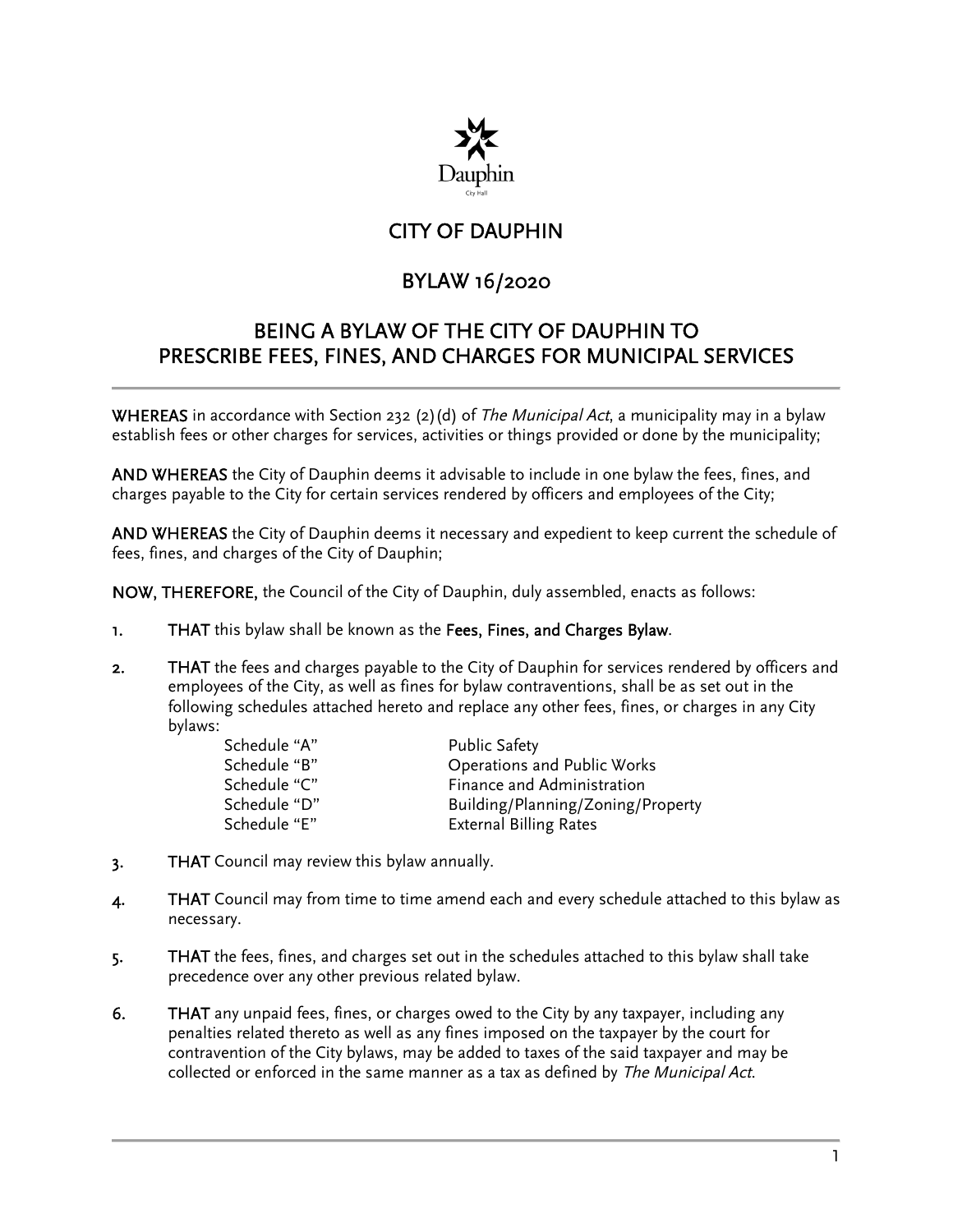

# CITY OF DAUPHIN

# BYLAW 16/2020

## BEING A BYLAW OF THE CITY OF DAUPHIN TO PRESCRIBE FEES, FINES, AND CHARGES FOR MUNICIPAL SERVICES

**WHEREAS** in accordance with Section 232 (2)(d) of *The Municipal Act*, a municipality may in a bylaw establish fees or other charges for services, activities or things provided or done by the municipality;

AND WHEREAS the City of Dauphin deems it advisable to include in one bylaw the fees, fines, and charges payable to the City for certain services rendered by officers and employees of the City;

AND WHEREAS the City of Dauphin deems it necessary and expedient to keep current the schedule of fees, fines, and charges of the City of Dauphin;

NOW, THEREFORE, the Council of the City of Dauphin, duly assembled, enacts as follows:

- 1. THAT this bylaw shall be known as the Fees, Fines, and Charges Bylaw.
- 2. THAT the fees and charges payable to the City of Dauphin for services rendered by officers and employees of the City, as well as fines for bylaw contraventions, shall be as set out in the following schedules attached hereto and replace any other fees, fines, or charges in any City bylaws:

| Schedule "A" | <b>Public Safety</b>              |
|--------------|-----------------------------------|
| Schedule "B" | Operations and Public Works       |
| Schedule "C" | Finance and Administration        |
| Schedule "D" | Building/Planning/Zoning/Property |
| Schedule "E" | <b>External Billing Rates</b>     |

- 3. THAT Council may review this bylaw annually.
- 4. THAT Council may from time to time amend each and every schedule attached to this bylaw as necessary.
- 5. THAT the fees, fines, and charges set out in the schedules attached to this bylaw shall take precedence over any other previous related bylaw.
- 6. THAT any unpaid fees, fines, or charges owed to the City by any taxpayer, including any penalties related thereto as well as any fines imposed on the taxpayer by the court for contravention of the City bylaws, may be added to taxes of the said taxpayer and may be collected or enforced in the same manner as a tax as defined by The Municipal Act.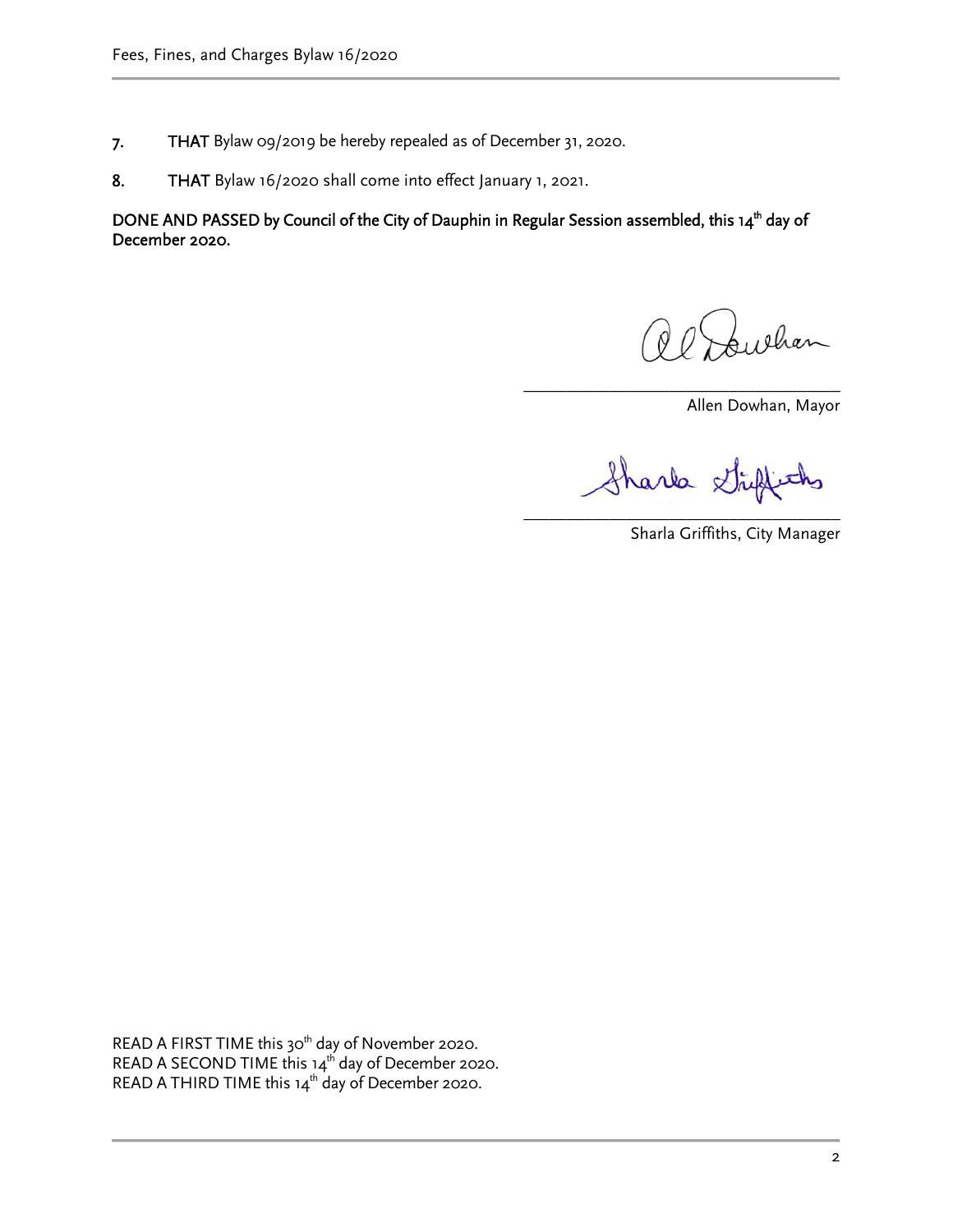- 7. THAT Bylaw 09/2019 be hereby repealed as of December 31, 2020.
- 8. THAT Bylaw 16/2020 shall come into effect January 1, 2021.

DONE AND PASSED by Council of the City of Dauphin in Regular Session assembled, this 14<sup>th</sup> day of December 2020.

eha

Allen Dowhan, Mayor

Shark Strip fiths

\_\_\_\_\_\_\_\_\_\_\_\_\_\_\_\_\_\_\_\_\_\_\_\_\_\_\_\_\_\_\_\_\_\_\_\_\_

\_\_\_\_\_\_\_\_\_\_\_\_\_\_\_\_\_\_\_\_\_\_\_\_\_\_\_\_\_\_\_\_\_\_\_\_\_ Sharla Griffiths, City Manager

READ A FIRST TIME this  $30<sup>th</sup>$  day of November 2020. READ A SECOND TIME this  $14<sup>th</sup>$  day of December 2020. READ A THIRD TIME this  $14<sup>th</sup>$  day of December 2020.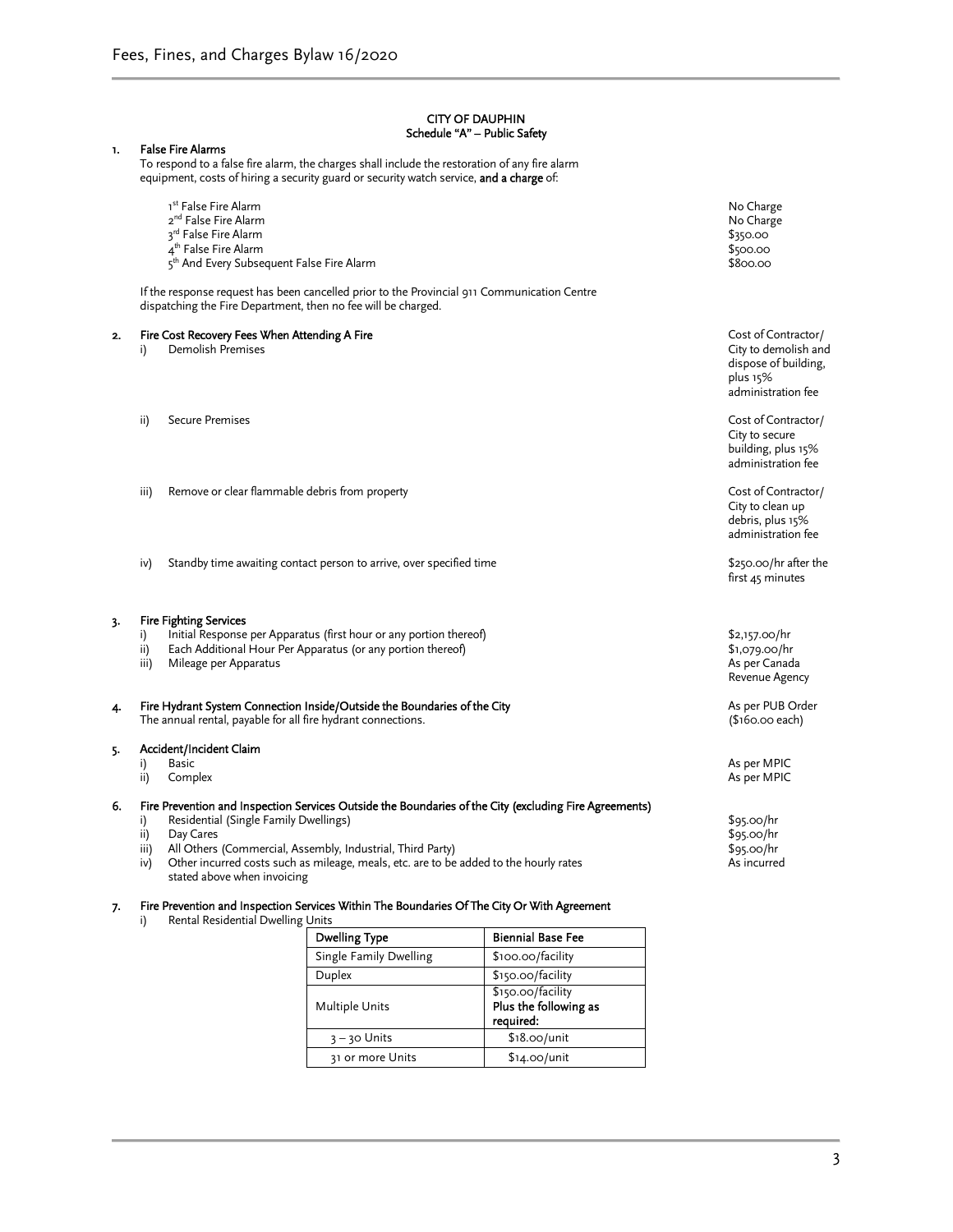#### CITY OF DAUPHIN Schedule "A" – Public Safety

|    |                          |                                                                                                       | <b>Dwelling Type</b>                                                                                                                                                                                                                                          | <b>Biennial Base Fee</b> |                                                                                                       |
|----|--------------------------|-------------------------------------------------------------------------------------------------------|---------------------------------------------------------------------------------------------------------------------------------------------------------------------------------------------------------------------------------------------------------------|--------------------------|-------------------------------------------------------------------------------------------------------|
|    | i)                       | Rental Residential Dwelling Units                                                                     |                                                                                                                                                                                                                                                               |                          |                                                                                                       |
| 7. |                          |                                                                                                       | Fire Prevention and Inspection Services Within The Boundaries Of The City Or With Agreement                                                                                                                                                                   |                          |                                                                                                       |
| 6. | i)<br>ii)<br>iii)<br>iv) | Residential (Single Family Dwellings)<br>Day Cares<br>stated above when invoicing                     | Fire Prevention and Inspection Services Outside the Boundaries of the City (excluding Fire Agreements)<br>All Others (Commercial, Assembly, Industrial, Third Party)<br>Other incurred costs such as mileage, meals, etc. are to be added to the hourly rates |                          | \$95.00/hr<br>\$95.00/hr<br>\$95.00/hr<br>As incurred                                                 |
| 5. | i)<br>ii)                | Accident/Incident Claim<br><b>Basic</b><br>Complex                                                    |                                                                                                                                                                                                                                                               |                          | As per MPIC<br>As per MPIC                                                                            |
| 4. |                          | The annual rental, payable for all fire hydrant connections.                                          | Fire Hydrant System Connection Inside/Outside the Boundaries of the City                                                                                                                                                                                      |                          | As per PUB Order<br>(\$160.00 each)                                                                   |
| 3. | i)<br>ii)<br>iii)        | <b>Fire Fighting Services</b><br>Mileage per Apparatus                                                | Initial Response per Apparatus (first hour or any portion thereof)<br>Each Additional Hour Per Apparatus (or any portion thereof)                                                                                                                             |                          | \$2,157.00/hr<br>\$1,079.00/hr<br>As per Canada<br>Revenue Agency                                     |
|    | iv)                      |                                                                                                       | Standby time awaiting contact person to arrive, over specified time                                                                                                                                                                                           |                          | \$250.00/hr after the<br>first 45 minutes                                                             |
|    | iii)                     | Remove or clear flammable debris from property                                                        |                                                                                                                                                                                                                                                               |                          | Cost of Contractor/<br>City to clean up<br>debris, plus 15%<br>administration fee                     |
|    | ii)                      | <b>Secure Premises</b>                                                                                |                                                                                                                                                                                                                                                               |                          | Cost of Contractor/<br>City to secure<br>building, plus 15%<br>administration fee                     |
| 2. | i)                       | Fire Cost Recovery Fees When Attending A Fire<br>Demolish Premises                                    |                                                                                                                                                                                                                                                               |                          | Cost of Contractor/<br>City to demolish and<br>dispose of building,<br>plus 15%<br>administration fee |
|    |                          | dispatching the Fire Department, then no fee will be charged.                                         | If the response request has been cancelled prior to the Provincial 911 Communication Centre                                                                                                                                                                   |                          |                                                                                                       |
|    |                          | 3rd False Fire Alarm<br>4 <sup>th</sup> False Fire Alarm<br>5th And Every Subsequent False Fire Alarm |                                                                                                                                                                                                                                                               |                          | \$350.00<br>\$500.00<br>\$800.00                                                                      |
|    |                          | 1 <sup>st</sup> False Fire Alarm<br>2 <sup>nd</sup> False Fire Alarm                                  |                                                                                                                                                                                                                                                               |                          | No Charge<br>No Charge                                                                                |
| 1. |                          | <b>False Fire Alarms</b>                                                                              | To respond to a false fire alarm, the charges shall include the restoration of any fire alarm<br>equipment, costs of hiring a security guard or security watch service, and a charge of:                                                                      |                          |                                                                                                       |

| \$100.00/facility                                       |
|---------------------------------------------------------|
| \$150.00/facility                                       |
| \$150.00/facility<br>Plus the following as<br>required: |
| $$18.00/$ unit                                          |
| $$14.00/$ unit                                          |
|                                                         |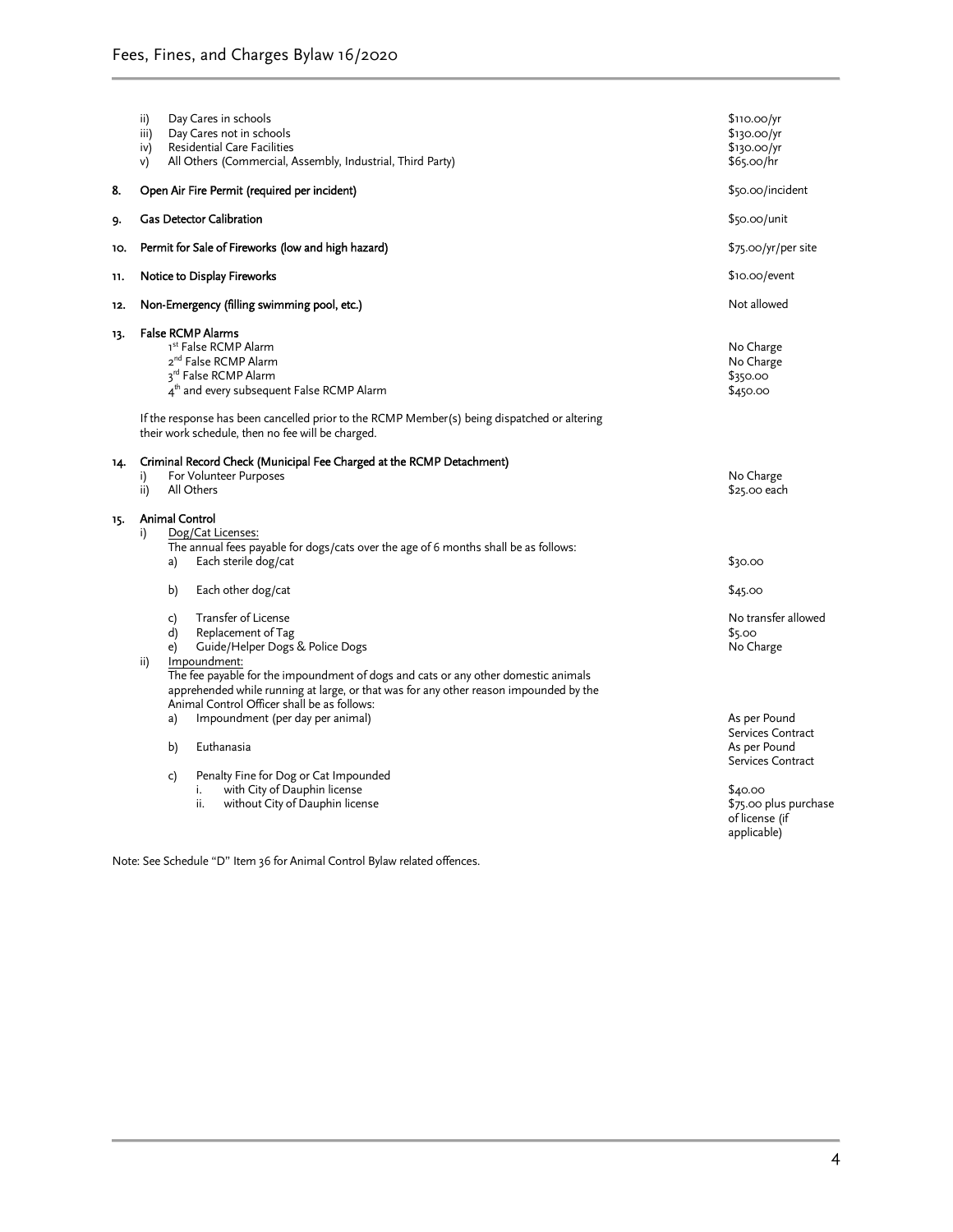|     | Day Cares in schools<br>ii)<br>Day Cares not in schools<br>iii)<br>Residential Care Facilities<br>iv)<br>All Others (Commercial, Assembly, Industrial, Third Party)<br>v)                                                                                                                                                                                                                                                                                                                                 | \$110.00/yr<br>\$130.00/yr<br>\$130.00/yr<br>\$65.00/hr                                                                                     |
|-----|-----------------------------------------------------------------------------------------------------------------------------------------------------------------------------------------------------------------------------------------------------------------------------------------------------------------------------------------------------------------------------------------------------------------------------------------------------------------------------------------------------------|---------------------------------------------------------------------------------------------------------------------------------------------|
| 8.  | Open Air Fire Permit (required per incident)                                                                                                                                                                                                                                                                                                                                                                                                                                                              | \$50.00/incident                                                                                                                            |
| 9.  | <b>Gas Detector Calibration</b>                                                                                                                                                                                                                                                                                                                                                                                                                                                                           | $$50.00/$ unit                                                                                                                              |
| 10. | Permit for Sale of Fireworks (low and high hazard)                                                                                                                                                                                                                                                                                                                                                                                                                                                        | \$75.00/yr/per site                                                                                                                         |
| 11. | Notice to Display Fireworks                                                                                                                                                                                                                                                                                                                                                                                                                                                                               | \$10.00/event                                                                                                                               |
| 12. | Non-Emergency (filling swimming pool, etc.)                                                                                                                                                                                                                                                                                                                                                                                                                                                               | Not allowed                                                                                                                                 |
| 13. | <b>False RCMP Alarms</b><br>1st False RCMP Alarm<br>2 <sup>nd</sup> False RCMP Alarm<br>3rd False RCMP Alarm<br>4 <sup>th</sup> and every subsequent False RCMP Alarm<br>If the response has been cancelled prior to the RCMP Member(s) being dispatched or altering<br>their work schedule, then no fee will be charged.                                                                                                                                                                                 | No Charge<br>No Charge<br>\$350.00<br>\$450.00                                                                                              |
| 14. | Criminal Record Check (Municipal Fee Charged at the RCMP Detachment)<br>For Volunteer Purposes<br>i)<br>All Others<br>ii)                                                                                                                                                                                                                                                                                                                                                                                 | No Charge<br>\$25.00 each                                                                                                                   |
| 15. | <b>Animal Control</b><br>Dog/Cat Licenses:<br>i)<br>The annual fees payable for dogs/cats over the age of 6 months shall be as follows:<br>Each sterile dog/cat<br>a)<br>b)<br>Each other dog/cat<br>Transfer of License<br>c)<br>d)<br>Replacement of Tag<br>Guide/Helper Dogs & Police Dogs<br>e)<br>Impoundment:<br>ii)<br>The fee payable for the impoundment of dogs and cats or any other domestic animals<br>apprehended while running at large, or that was for any other reason impounded by the | \$30.00<br>\$45.00<br>No transfer allowed<br>\$5.00<br>No Charge                                                                            |
|     | Animal Control Officer shall be as follows:<br>Impoundment (per day per animal)<br>a)<br>b)<br>Euthanasia<br>Penalty Fine for Dog or Cat Impounded<br>c)<br>with City of Dauphin license<br>i.<br>ii.<br>without City of Dauphin license                                                                                                                                                                                                                                                                  | As per Pound<br>Services Contract<br>As per Pound<br>Services Contract<br>\$40.00<br>\$75.00 plus purchase<br>of license (if<br>applicable) |

Note: See Schedule "D" Item 36 for Animal Control Bylaw related offences.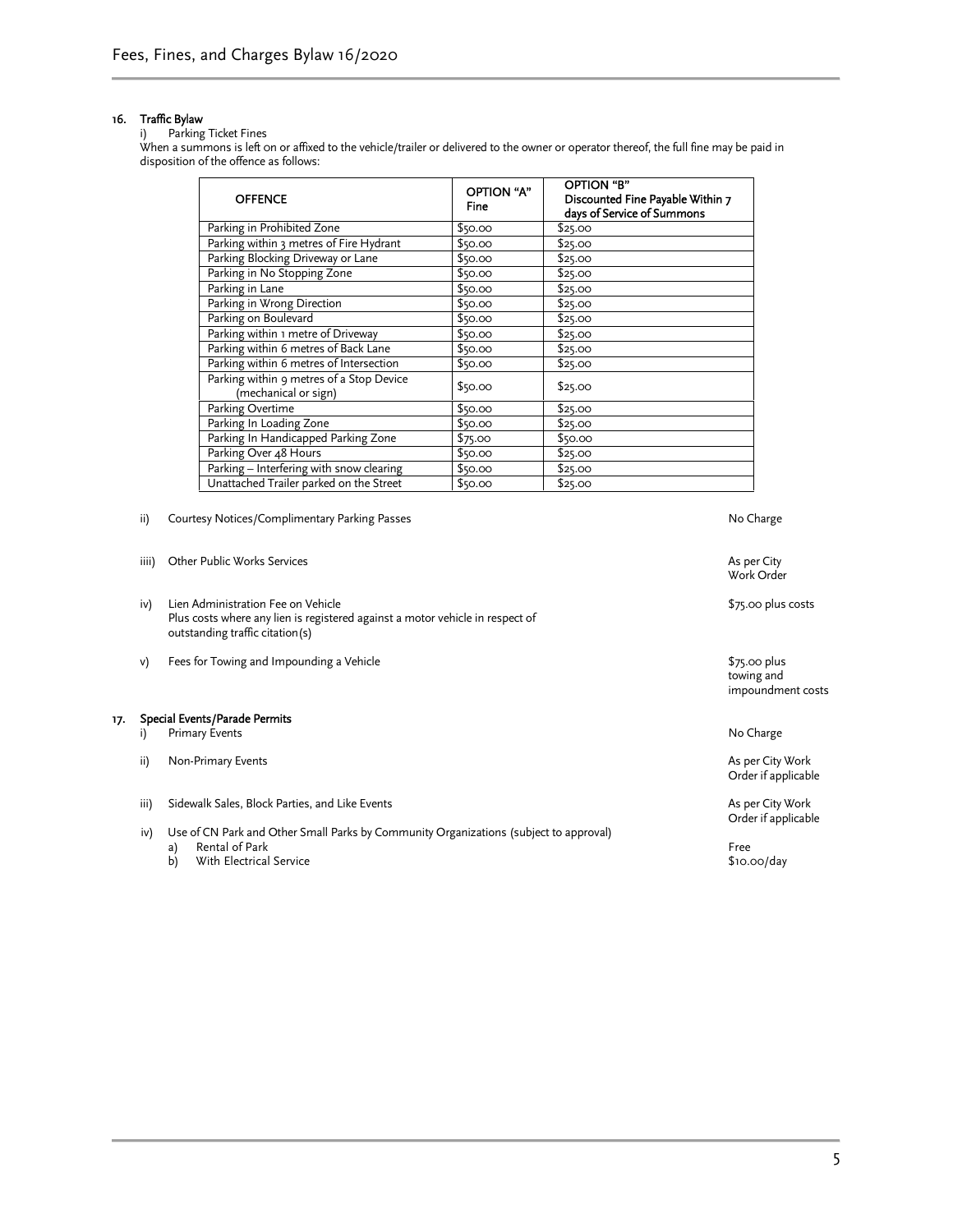#### 16. Traffic Bylaw

#### i) Parking Ticket Fines

When a summons is left 0n or affixed to the vehicle/trailer or delivered to the owner or operator thereof, the full fine may be paid in disposition of the offence as follows:

| <b>OFFENCE</b>                                                   | <b>OPTION "A"</b><br><b>Fine</b> | OPTION "B"<br>Discounted Fine Payable Within 7<br>days of Service of Summons |
|------------------------------------------------------------------|----------------------------------|------------------------------------------------------------------------------|
| Parking in Prohibited Zone                                       | \$50.00                          | \$25.00                                                                      |
| Parking within 3 metres of Fire Hydrant                          | \$50.00                          | \$25.00                                                                      |
| Parking Blocking Driveway or Lane                                | \$50.00                          | \$25.00                                                                      |
| Parking in No Stopping Zone                                      | \$50.00                          | \$25.00                                                                      |
| Parking in Lane                                                  | \$50.00                          | \$25.00                                                                      |
| Parking in Wrong Direction                                       | \$50.00                          | \$25.00                                                                      |
| Parking on Boulevard                                             | \$50.00                          | \$25.00                                                                      |
| Parking within 1 metre of Driveway                               | \$50.00                          | \$25.00                                                                      |
| Parking within 6 metres of Back Lane                             | \$50.00                          | \$25.00                                                                      |
| Parking within 6 metres of Intersection                          | \$50.00                          | \$25.00                                                                      |
| Parking within 9 metres of a Stop Device<br>(mechanical or sign) | \$50.00                          | \$25.00                                                                      |
| Parking Overtime                                                 | \$50.00                          | \$25.00                                                                      |
| Parking In Loading Zone                                          | \$50.00                          | \$25.00                                                                      |
| Parking In Handicapped Parking Zone                              | \$75.00                          | \$50.00                                                                      |
| Parking Over 48 Hours                                            | \$50.00                          | \$25.00                                                                      |
| Parking - Interfering with snow clearing                         | \$50.00                          | \$25.00                                                                      |
| Unattached Trailer parked on the Street                          | \$50.00                          | \$25.00                                                                      |

ii) Courtesy Notices/Complimentary Parking Passes and a state of the Charge No Charge

|     | iiii) | Other Public Works Services                                                                                                                            | As per City<br>Work Order                        |
|-----|-------|--------------------------------------------------------------------------------------------------------------------------------------------------------|--------------------------------------------------|
|     | iv)   | Lien Administration Fee on Vehicle<br>Plus costs where any lien is registered against a motor vehicle in respect of<br>outstanding traffic citation(s) | \$75.00 plus costs                               |
|     | v)    | Fees for Towing and Impounding a Vehicle                                                                                                               | $$75.00$ plus<br>towing and<br>impoundment costs |
| 17. |       | Special Events/Parade Permits                                                                                                                          |                                                  |
|     |       | <b>Primary Events</b>                                                                                                                                  | No Charge                                        |
|     | ii)   | Non-Primary Events                                                                                                                                     | As per City Work<br>Order if applicable          |
|     | iii)  | Sidewalk Sales, Block Parties, and Like Events                                                                                                         | As per City Work<br>Order if applicable          |
|     | iv)   | Use of CN Park and Other Small Parks by Community Organizations (subject to approval)                                                                  |                                                  |
|     |       | Rental of Park<br>a)                                                                                                                                   | Free                                             |
|     |       | b)<br>With Electrical Service                                                                                                                          | $$10.00$ /day                                    |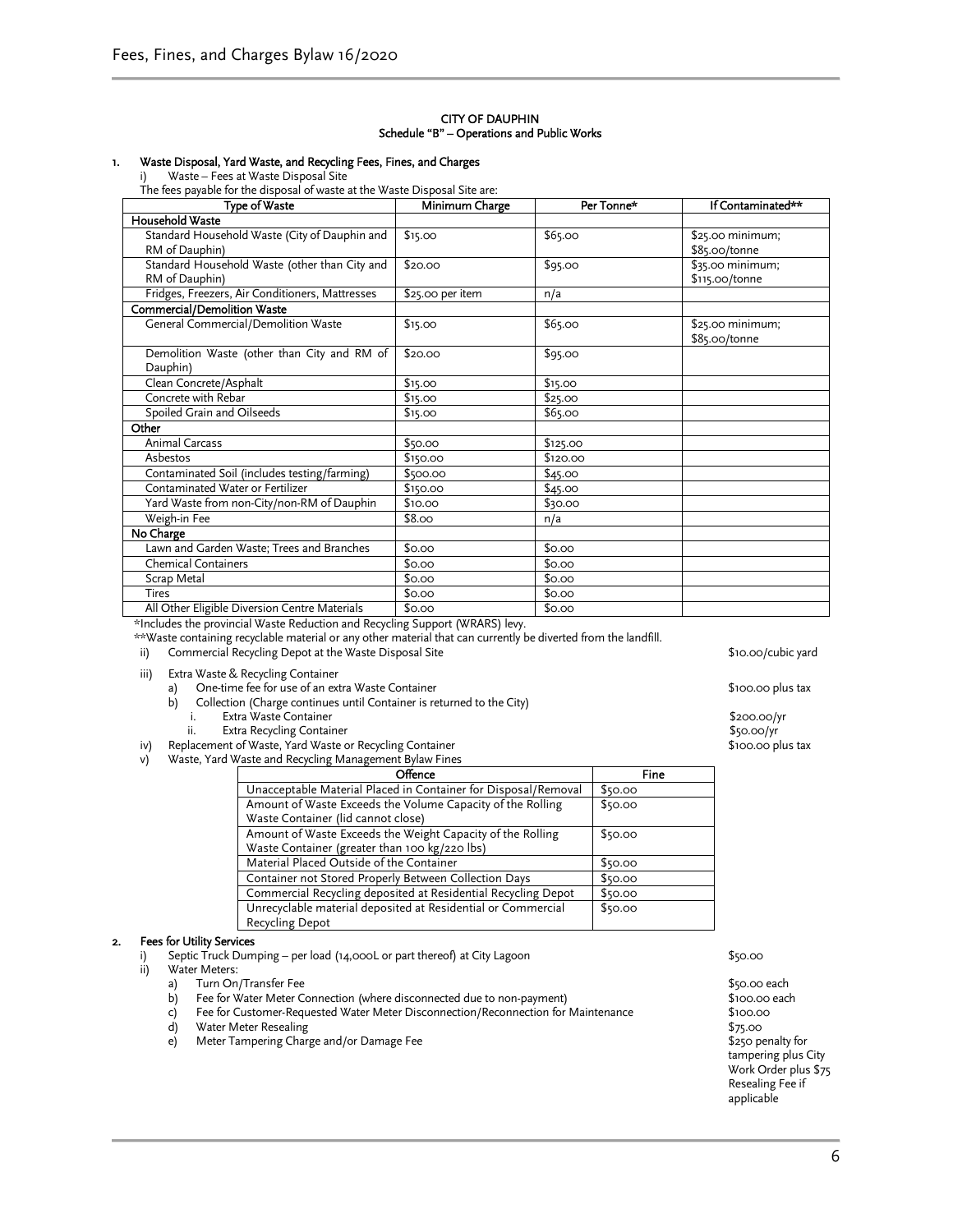#### CITY OF DAUPHIN Schedule "B" – Operations and Public Works

#### 1. Waste Disposal, Yard Waste, and Recycling Fees, Fines, and Charges

i) Waste – Fees at Waste Disposal Site

The fees payable for the disposal of waste at the Waste Disposal Site are:

| Minimum Charge   | Per Tonne*                                                               | If Contaminated** |
|------------------|--------------------------------------------------------------------------|-------------------|
|                  |                                                                          |                   |
| \$15.00          | \$65.00                                                                  | \$25.00 minimum;  |
|                  |                                                                          | \$85.00/tonne     |
| \$20.00          | \$95.00                                                                  | \$35.00 minimum;  |
|                  |                                                                          | \$115.00/tonne    |
| \$25.00 per item | n/a                                                                      |                   |
|                  |                                                                          |                   |
| \$15.00          | \$65.00                                                                  | \$25.00 minimum;  |
|                  |                                                                          | \$85.00/tonne     |
| \$20.00          | \$95.00                                                                  |                   |
|                  |                                                                          |                   |
| \$15.00          | \$15.00                                                                  |                   |
| \$15.00          | \$25.00                                                                  |                   |
| \$15.00          | \$65.00                                                                  |                   |
|                  |                                                                          |                   |
| \$50.00          | \$125.00                                                                 |                   |
| \$150.00         | \$120.00                                                                 |                   |
| \$500.00         | \$45.00                                                                  |                   |
| \$150.00         | \$45.00                                                                  |                   |
| \$10.00          | \$30.00                                                                  |                   |
| \$8.00           | n/a                                                                      |                   |
|                  |                                                                          |                   |
| \$0.00           | \$0.00                                                                   |                   |
| \$0.00           | \$0.00                                                                   |                   |
| \$0.00           | \$0.00                                                                   |                   |
| \$0.00           | \$0.00                                                                   |                   |
| \$0.00           | \$0.00                                                                   |                   |
|                  | Demolition Waste (other than City and RM of<br>$\mathbf{r}$<br>AY/BA BAY |                   |

\*Includes the provincial Waste Reduction and Recycling Support (WRARS) levy.

\*\*Waste containing recyclable material or any other material that can currently be diverted from the landfill.

ii) Commercial Recycling Depot at the Waste Disposal Site \$10.00/cubic yard

iii) Extra Waste & Recycling Container

- 
- a) One-time fee for use of an extra Waste Container<br>
b) Collection (Charge continues until Container is returned to the City) Collection (Charge continues until Container is returned to the City)<br>i. Extra Waste Container
	-
	- i. Extra Waste Container and the content of the content of the content of the content of the state of the S200.00/yr state of the content of the content of the content of the content of the content of the content of the co

Extra Recycling Container \$50.00/yr<br>
ent of Waste, Yard Waste or Recycling Container \$100.00 plus tax \$100.00 plus tax iv) Replacement of Waste, Yard Waste or Recycling Container

v) Waste, Yard Waste and Recycling Management Bylaw Fines

| Offence                                                        | Fine    |
|----------------------------------------------------------------|---------|
| Unacceptable Material Placed in Container for Disposal/Removal | \$50.00 |
| Amount of Waste Exceeds the Volume Capacity of the Rolling     | \$50.00 |
| Waste Container (lid cannot close)                             |         |
| Amount of Waste Exceeds the Weight Capacity of the Rolling     | \$50.00 |
| Waste Container (greater than 100 kg/220 lbs)                  |         |
| Material Placed Outside of the Container                       | \$50.00 |
| Container not Stored Properly Between Collection Days          | \$50.00 |
| Commercial Recycling deposited at Residential Recycling Depot  | \$50.00 |
| Unrecyclable material deposited at Residential or Commercial   | \$50.00 |
| Recycling Depot                                                |         |

### 2. Fees for Utility Services

- i) Septic Truck Dumping per load (14,000L or part thereof) at City Lagoon \$50.000 \$50.00
- ii) Water Meters:
	-
	- a) Turn On/Transfer Fee<br>
	b) Fee for Water Meter Connection (where disconnected due to non-payment) \$100.00 each Fee for Water Meter Connection (where disconnected due to non-payment)
	- c) Fee for Customer-Requested Water Meter Disconnection/Reconnection for Maintenance \$100.00
	- d) Water Meter Resealing **\$75.00**
	- e) Meter Tampering Charge and/or Damage Fee \$250 penalty for \$250 penalty for

tampering plus City Work Order plus \$75 Resealing Fee if applicable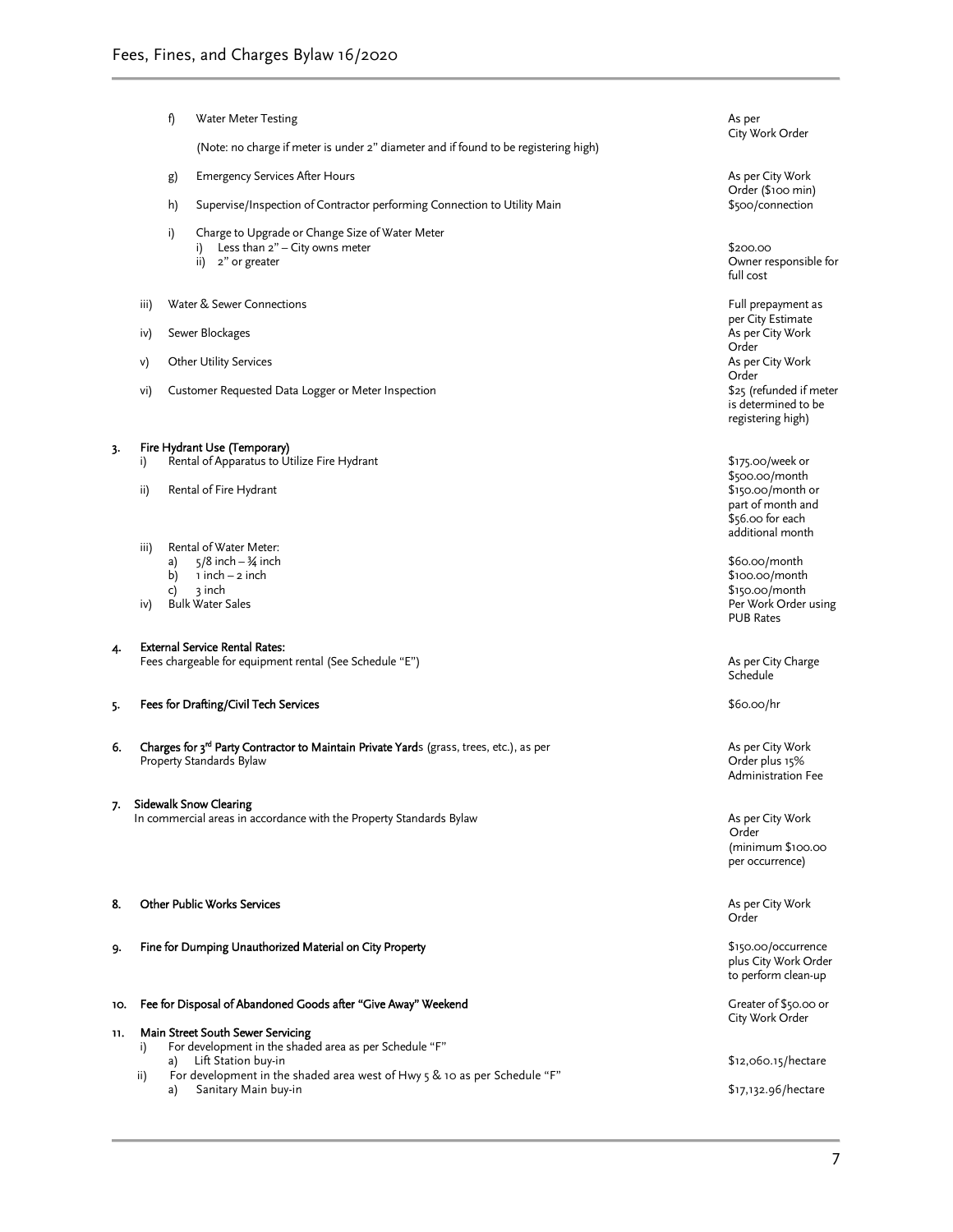|     |      | f)       | Water Meter Testing                                                                                                             | As per<br>City Work Order                                                                        |
|-----|------|----------|---------------------------------------------------------------------------------------------------------------------------------|--------------------------------------------------------------------------------------------------|
|     |      |          | (Note: no charge if meter is under 2" diameter and if found to be registering high)                                             |                                                                                                  |
|     |      | g)       | <b>Emergency Services After Hours</b>                                                                                           | As per City Work<br>Order (\$100 min)                                                            |
|     |      | h)       | Supervise/Inspection of Contractor performing Connection to Utility Main                                                        | \$500/connection                                                                                 |
|     |      | i)       | Charge to Upgrade or Change Size of Water Meter<br>Less than 2" - City owns meter<br>i)<br>2" or greater<br>ii)                 | \$200.00<br>Owner responsible for<br>full cost                                                   |
|     | iii) |          | Water & Sewer Connections                                                                                                       | Full prepayment as                                                                               |
|     | iv)  |          | Sewer Blockages                                                                                                                 | per City Estimate<br>As per City Work<br>Order                                                   |
|     | V)   |          | <b>Other Utility Services</b>                                                                                                   | As per City Work<br>Order                                                                        |
|     | vi)  |          | Customer Requested Data Logger or Meter Inspection                                                                              | \$25 (refunded if meter<br>is determined to be<br>registering high)                              |
| 3.  | i)   |          | Fire Hydrant Use (Temporary)<br>Rental of Apparatus to Utilize Fire Hydrant                                                     | \$175.00/week or                                                                                 |
|     | ii)  |          | Rental of Fire Hydrant                                                                                                          | \$500.00/month<br>\$150.00/month or<br>part of month and<br>\$56.00 for each<br>additional month |
|     | iii) | a)       | Rental of Water Meter:<br>$5/8$ inch $-3/4$ inch                                                                                | \$60.00/month                                                                                    |
|     | iv)  | b)<br>c) | 1 inch – 2 inch<br>3 inch<br><b>Bulk Water Sales</b>                                                                            | \$100.00/month<br>\$150.00/month<br>Per Work Order using<br><b>PUB Rates</b>                     |
| 4.  |      |          | <b>External Service Rental Rates:</b>                                                                                           |                                                                                                  |
|     |      |          | Fees chargeable for equipment rental (See Schedule "E")                                                                         | As per City Charge<br>Schedule                                                                   |
| 5.  |      |          | Fees for Drafting/Civil Tech Services                                                                                           | \$60.00/hr                                                                                       |
| 6.  |      |          | Charges for 3 <sup>rd</sup> Party Contractor to Maintain Private Yards (grass, trees, etc.), as per<br>Property Standards Bylaw | As per City Work<br>Order plus 15%<br>Administration Fee                                         |
| 7.  |      |          | <b>Sidewalk Snow Clearing</b><br>In commercial areas in accordance with the Property Standards Bylaw                            | As per City Work                                                                                 |
|     |      |          |                                                                                                                                 | Order<br>(minimum \$100.00<br>per occurrence)                                                    |
| 8.  |      |          | <b>Other Public Works Services</b>                                                                                              | As per City Work<br>Order                                                                        |
| 9.  |      |          | Fine for Dumping Unauthorized Material on City Property                                                                         | \$150.00/occurrence<br>plus City Work Order<br>to perform clean-up                               |
| 10. |      |          | Fee for Disposal of Abandoned Goods after "Give Away" Weekend                                                                   | Greater of \$50.00 or<br>City Work Order                                                         |
| 11. | i)   |          | Main Street South Sewer Servicing<br>For development in the shaded area as per Schedule "F"                                     |                                                                                                  |
|     | ii)  | a)       | Lift Station buy-in<br>For development in the shaded area west of Hwy $5 \& 10$ as per Schedule "F"                             | \$12,060.15/hectare                                                                              |
|     |      | a)       | Sanitary Main buy-in                                                                                                            | \$17,132.96/hectare                                                                              |
|     |      |          |                                                                                                                                 |                                                                                                  |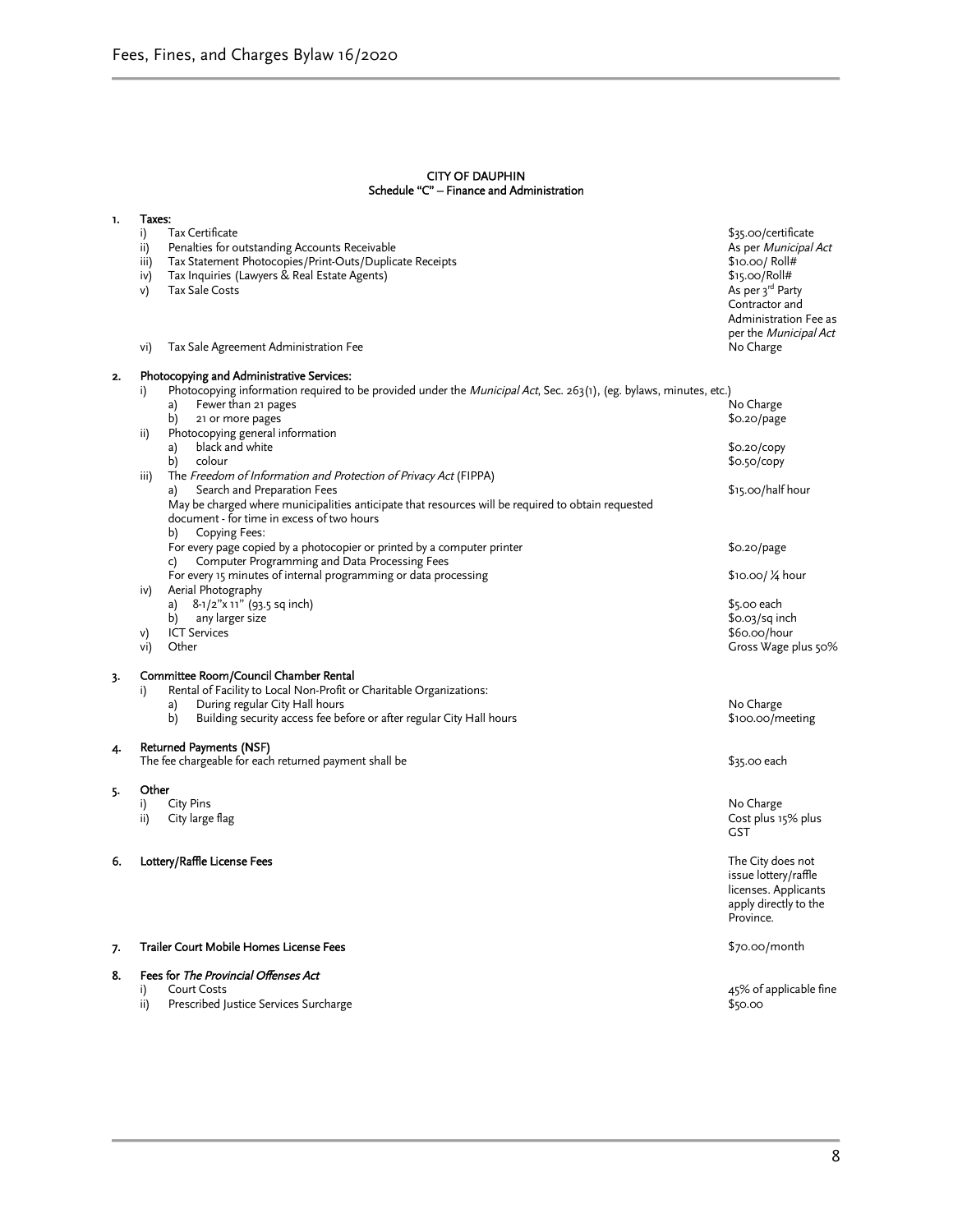#### CITY OF DAUPHIN Schedule "C" – Finance and Administration

| 1. | Taxes:                                                                                                                                                                                                                                   |                                                                                                                                                                                      |
|----|------------------------------------------------------------------------------------------------------------------------------------------------------------------------------------------------------------------------------------------|--------------------------------------------------------------------------------------------------------------------------------------------------------------------------------------|
|    | Tax Certificate<br>i)<br>Penalties for outstanding Accounts Receivable<br>ii)<br>Tax Statement Photocopies/Print-Outs/Duplicate Receipts<br>iii)<br>iv)<br>Tax Inquiries (Lawyers & Real Estate Agents)<br>v)<br><b>Tax Sale Costs</b>   | \$35.00/certificate<br>As per <i>Municipal Act</i><br>\$10.00/ Roll#<br>\$15.00/Roll#<br>As per 3rd Party<br>Contractor and<br>Administration Fee as<br>per the <i>Municipal Act</i> |
|    | Tax Sale Agreement Administration Fee<br>vi)                                                                                                                                                                                             | No Charge                                                                                                                                                                            |
| 2. | Photocopying and Administrative Services:<br>Photocopying information required to be provided under the <i>Municipal Act</i> , Sec. 263(1), (eg. bylaws, minutes, etc.)<br>i)<br>a)<br>Fewer than 21 pages<br>b)<br>21 or more pages     | No Charge<br>$$0.20$ /page                                                                                                                                                           |
|    | Photocopying general information<br>ii)<br>black and white<br>a)<br>b)<br>colour<br>The Freedom of Information and Protection of Privacy Act (FIPPA)<br>iii)                                                                             | $$0.20$ /copy<br>\$0.50/copy                                                                                                                                                         |
|    | Search and Preparation Fees<br>a)<br>May be charged where municipalities anticipate that resources will be required to obtain requested<br>document - for time in excess of two hours<br>Copying Fees:<br>b)                             | \$15.00/half hour                                                                                                                                                                    |
|    | For every page copied by a photocopier or printed by a computer printer<br>Computer Programming and Data Processing Fees<br>C)                                                                                                           | \$0.20/page                                                                                                                                                                          |
|    | For every 15 minutes of internal programming or data processing<br>iv)<br>Aerial Photography                                                                                                                                             | \$10.00/ ¼ hour                                                                                                                                                                      |
|    | 8-1/2"x 11" (93.5 sq inch)<br>a)<br>any larger size<br>b)<br><b>ICT Services</b><br>V)<br>Other<br>vi)                                                                                                                                   | \$5.00 each<br>$$0.03/sq$ inch<br>\$60.00/hour<br>Gross Wage plus 50%                                                                                                                |
| 3. | Committee Room/Council Chamber Rental<br>Rental of Facility to Local Non-Profit or Charitable Organizations:<br>i)<br>During regular City Hall hours<br>a)<br>b)<br>Building security access fee before or after regular City Hall hours | No Charge<br>\$100.00/meeting                                                                                                                                                        |
| 4. | Returned Payments (NSF)<br>The fee chargeable for each returned payment shall be                                                                                                                                                         | \$35.00 each                                                                                                                                                                         |
| 5. | Other<br>City Pins<br>i)<br>City large flag<br>ii)                                                                                                                                                                                       | No Charge<br>Cost plus 15% plus<br><b>GST</b>                                                                                                                                        |
| 6. | Lottery/Raffle License Fees                                                                                                                                                                                                              | The City does not<br>issue lottery/raffle<br>licenses. Applicants<br>apply directly to the<br>Province.                                                                              |
| 7. | Trailer Court Mobile Homes License Fees                                                                                                                                                                                                  | \$70.00/month                                                                                                                                                                        |
| 8. | Fees for The Provincial Offenses Act<br><b>Court Costs</b><br>i)<br>Prescribed Justice Services Surcharge<br>ii)                                                                                                                         | $45\%$ of applicable fine<br>\$50.00                                                                                                                                                 |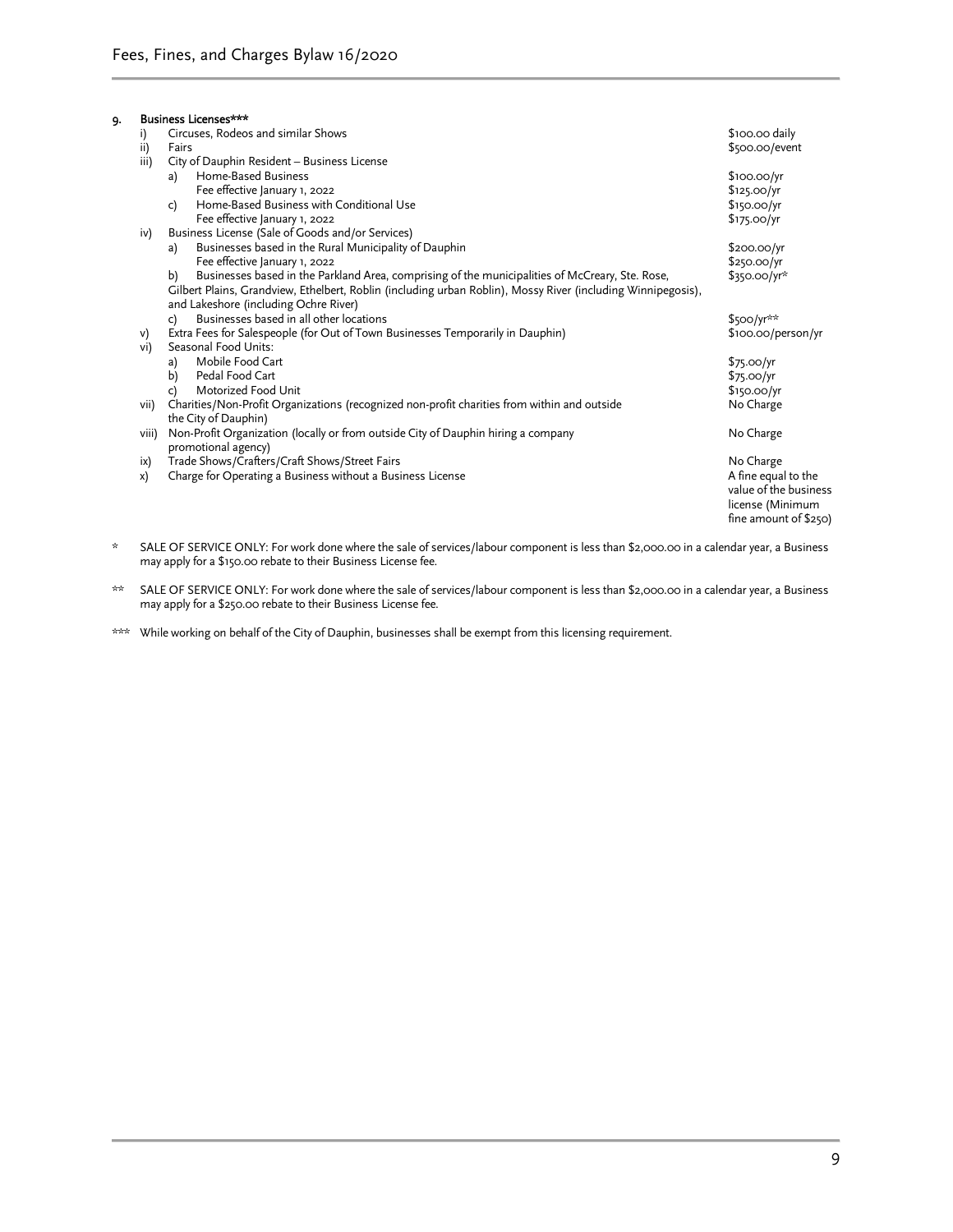| 9. |       | Business Licenses***                                                                                         |                         |  |  |  |  |
|----|-------|--------------------------------------------------------------------------------------------------------------|-------------------------|--|--|--|--|
|    | i)    | Circuses, Rodeos and similar Shows                                                                           | \$100.00 daily          |  |  |  |  |
|    | ii)   | Fairs                                                                                                        | \$500.00/event          |  |  |  |  |
|    | iii)  | City of Dauphin Resident - Business License                                                                  |                         |  |  |  |  |
|    |       | Home-Based Business<br>a)                                                                                    | $$100.00$ /yr           |  |  |  |  |
|    |       | Fee effective January 1, 2022                                                                                | \$125.00/yr             |  |  |  |  |
|    |       | Home-Based Business with Conditional Use<br>c)                                                               | \$150.00/yr             |  |  |  |  |
|    |       | Fee effective January 1, 2022                                                                                | \$175.00/yr             |  |  |  |  |
|    | iv)   | Business License (Sale of Goods and/or Services)                                                             |                         |  |  |  |  |
|    |       | Businesses based in the Rural Municipality of Dauphin<br>a)                                                  | \$200.00/yr             |  |  |  |  |
|    |       | Fee effective January 1, 2022                                                                                | \$250.00/yr             |  |  |  |  |
|    |       | Businesses based in the Parkland Area, comprising of the municipalities of McCreary, Ste. Rose,<br>b)        | $$350.00/yr*$           |  |  |  |  |
|    |       | Gilbert Plains, Grandview, Ethelbert, Roblin (including urban Roblin), Mossy River (including Winnipegosis), |                         |  |  |  |  |
|    |       | and Lakeshore (including Ochre River)                                                                        |                         |  |  |  |  |
|    |       | Businesses based in all other locations<br>c)                                                                | $$500/yr**$             |  |  |  |  |
|    | V)    | Extra Fees for Salespeople (for Out of Town Businesses Temporarily in Dauphin)                               | \$100.00/person/yr      |  |  |  |  |
|    | vi)   | Seasonal Food Units:                                                                                         |                         |  |  |  |  |
|    |       | Mobile Food Cart<br>a)                                                                                       | \$75.00/yr              |  |  |  |  |
|    |       | Pedal Food Cart<br>b)                                                                                        | \$75.00/yr              |  |  |  |  |
|    |       | Motorized Food Unit<br>c)                                                                                    | \$150.00/yr             |  |  |  |  |
|    | vii)  | Charities/Non-Profit Organizations (recognized non-profit charities from within and outside                  | No Charge               |  |  |  |  |
|    |       | the City of Dauphin)                                                                                         |                         |  |  |  |  |
|    | viii) | Non-Profit Organization (locally or from outside City of Dauphin hiring a company                            | No Charge               |  |  |  |  |
|    |       | promotional agency)                                                                                          |                         |  |  |  |  |
|    | ix)   | Trade Shows/Crafters/Craft Shows/Street Fairs                                                                | No Charge               |  |  |  |  |
|    | x)    | Charge for Operating a Business without a Business License                                                   | A fine equal to the     |  |  |  |  |
|    |       |                                                                                                              | value of the business   |  |  |  |  |
|    |       |                                                                                                              | license (Minimum        |  |  |  |  |
|    |       |                                                                                                              | fine amount of $$250$ ) |  |  |  |  |

- \* SALE OF SERVICE ONLY: For work done where the sale of services/labour component is less than \$2,000.00 in a calendar year, a Business may apply for a \$150.00 rebate to their Business License fee.
- \*\* SALE OF SERVICE ONLY: For work done where the sale of services/labour component is less than \$2,000.00 in a calendar year, a Business may apply for a \$250.00 rebate to their Business License fee.
- \*\*\* While working on behalf of the City of Dauphin, businesses shall be exempt from this licensing requirement.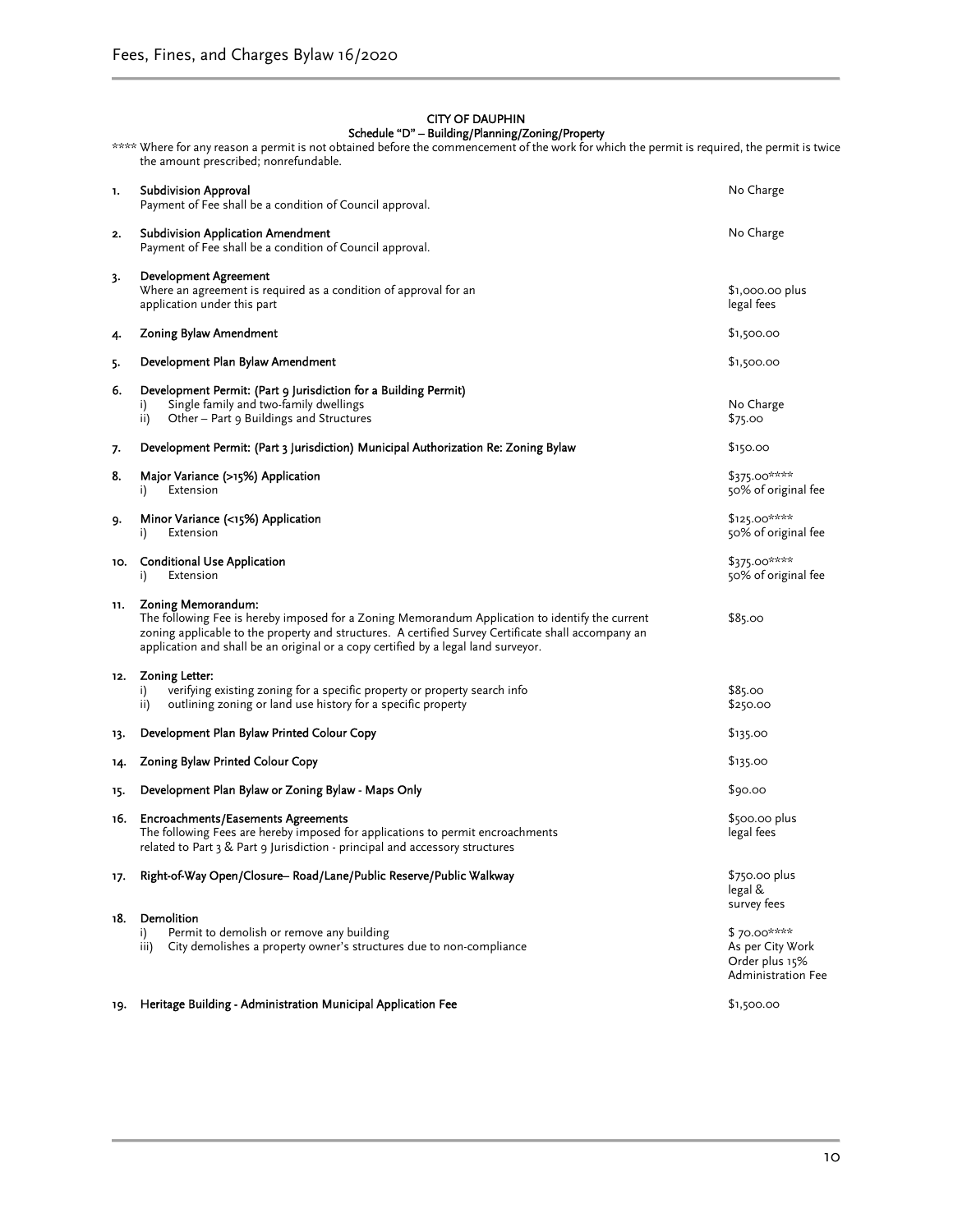#### CITY OF DAUPHIN Schedule "D" – Building/Planning/Zoning/Property

|     | **** Where for any reason a permit is not obtained before the commencement of the work for which the permit is required, the permit is twice<br>the amount prescribed; nonrefundable.                                                                                                                              |                                                                         |
|-----|--------------------------------------------------------------------------------------------------------------------------------------------------------------------------------------------------------------------------------------------------------------------------------------------------------------------|-------------------------------------------------------------------------|
| 1.  | <b>Subdivision Approval</b><br>Payment of Fee shall be a condition of Council approval.                                                                                                                                                                                                                            | No Charge                                                               |
| 2.  | <b>Subdivision Application Amendment</b><br>Payment of Fee shall be a condition of Council approval.                                                                                                                                                                                                               | No Charge                                                               |
| 3.  | <b>Development Agreement</b><br>Where an agreement is required as a condition of approval for an<br>application under this part                                                                                                                                                                                    | \$1,000.00 plus<br>legal fees                                           |
| 4.  | Zoning Bylaw Amendment                                                                                                                                                                                                                                                                                             | \$1,500.00                                                              |
| 5.  | Development Plan Bylaw Amendment                                                                                                                                                                                                                                                                                   | \$1,500.00                                                              |
| 6.  | Development Permit: (Part 9 Jurisdiction for a Building Permit)<br>Single family and two-family dwellings<br>i)<br>Other - Part 9 Buildings and Structures<br>ii)                                                                                                                                                  | No Charge<br>\$75.00                                                    |
| 7.  | Development Permit: (Part 3 Jurisdiction) Municipal Authorization Re: Zoning Bylaw                                                                                                                                                                                                                                 | \$150.00                                                                |
| 8.  | Major Variance (>15%) Application<br>Extension<br>i)                                                                                                                                                                                                                                                               | \$375.00****<br>50% of original fee                                     |
| 9.  | Minor Variance (<15%) Application<br>Extension<br>i)                                                                                                                                                                                                                                                               | $$125.00***$<br>50% of original fee                                     |
| 10. | <b>Conditional Use Application</b><br>Extension<br>i)                                                                                                                                                                                                                                                              | \$375.00****<br>50% of original fee                                     |
| 11. | Zoning Memorandum:<br>The following Fee is hereby imposed for a Zoning Memorandum Application to identify the current<br>zoning applicable to the property and structures. A certified Survey Certificate shall accompany an<br>application and shall be an original or a copy certified by a legal land surveyor. | \$85.00                                                                 |
| 12. | Zoning Letter:<br>verifying existing zoning for a specific property or property search info<br>i)<br>outlining zoning or land use history for a specific property<br>ii)                                                                                                                                           | \$85.00<br>\$250.00                                                     |
| 13. | Development Plan Bylaw Printed Colour Copy                                                                                                                                                                                                                                                                         | \$135.00                                                                |
| 14. | Zoning Bylaw Printed Colour Copy                                                                                                                                                                                                                                                                                   | \$135.00                                                                |
| 15. | Development Plan Bylaw or Zoning Bylaw - Maps Only                                                                                                                                                                                                                                                                 | \$90.00                                                                 |
| 16. | <b>Encroachments/Easements Agreements</b><br>The following Fees are hereby imposed for applications to permit encroachments<br>related to Part 3 & Part 9 Jurisdiction - principal and accessory structures                                                                                                        | \$500.00 plus<br>legal fees                                             |
| 17. | Right-of-Way Open/Closure- Road/Lane/Public Reserve/Public Walkway                                                                                                                                                                                                                                                 | $$750.00$ plus<br>legal &<br>survey fees                                |
| 18. | Demolition<br>Permit to demolish or remove any building<br>i)<br>City demolishes a property owner's structures due to non-compliance<br>iii)                                                                                                                                                                       | \$70.00****<br>As per City Work<br>Order plus 15%<br>Administration Fee |
| 19. | Heritage Building - Administration Municipal Application Fee                                                                                                                                                                                                                                                       | \$1,500.00                                                              |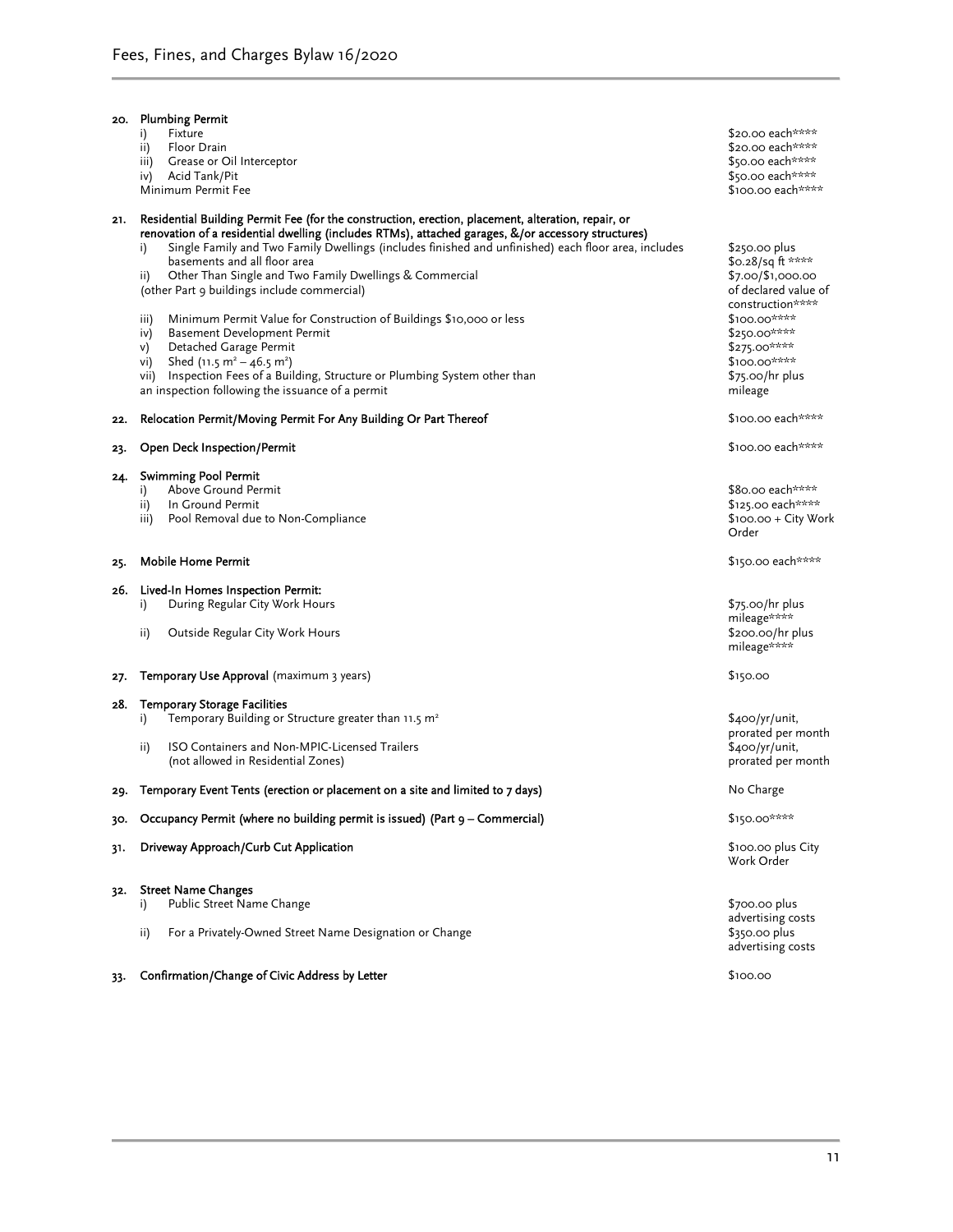| 20. | <b>Plumbing Permit</b>                                                                                                                                                                                                                                                                                                                                                                                                                                                                                                                                                                                                                                                                                                                                                                                                     |                                                                                                                                                                                                   |
|-----|----------------------------------------------------------------------------------------------------------------------------------------------------------------------------------------------------------------------------------------------------------------------------------------------------------------------------------------------------------------------------------------------------------------------------------------------------------------------------------------------------------------------------------------------------------------------------------------------------------------------------------------------------------------------------------------------------------------------------------------------------------------------------------------------------------------------------|---------------------------------------------------------------------------------------------------------------------------------------------------------------------------------------------------|
|     | Fixture<br>i)<br>ii)<br>Floor Drain                                                                                                                                                                                                                                                                                                                                                                                                                                                                                                                                                                                                                                                                                                                                                                                        | \$20.00 each****<br>\$20.00 each****                                                                                                                                                              |
|     | iii)<br>Grease or Oil Interceptor                                                                                                                                                                                                                                                                                                                                                                                                                                                                                                                                                                                                                                                                                                                                                                                          | \$50.00 each****                                                                                                                                                                                  |
|     | iv) Acid Tank/Pit                                                                                                                                                                                                                                                                                                                                                                                                                                                                                                                                                                                                                                                                                                                                                                                                          | \$50.00 each****                                                                                                                                                                                  |
|     | Minimum Permit Fee                                                                                                                                                                                                                                                                                                                                                                                                                                                                                                                                                                                                                                                                                                                                                                                                         | \$100.00 each****                                                                                                                                                                                 |
| 21. | Residential Building Permit Fee (for the construction, erection, placement, alteration, repair, or<br>renovation of a residential dwelling (includes RTMs), attached garages, &/or accessory structures)<br>Single Family and Two Family Dwellings (includes finished and unfinished) each floor area, includes<br>i)<br>basements and all floor area<br>Other Than Single and Two Family Dwellings & Commercial<br>ii)<br>(other Part 9 buildings include commercial)<br>Minimum Permit Value for Construction of Buildings \$10,000 or less<br>iii)<br>Basement Development Permit<br>iv)<br>Detached Garage Permit<br>V)<br>Shed (11.5 m <sup>2</sup> – 46.5 m <sup>2</sup> )<br>vi)<br>vii) Inspection Fees of a Building, Structure or Plumbing System other than<br>an inspection following the issuance of a permit | \$250.00 plus<br>\$0.28/sq ft ****<br>\$7.00/\$1,000.00<br>of declared value of<br>construction****<br>$$100.00***$<br>\$250.00****<br>$$275.00***$<br>\$100.00****<br>\$75.00/hr plus<br>mileage |
| 22. | Relocation Permit/Moving Permit For Any Building Or Part Thereof                                                                                                                                                                                                                                                                                                                                                                                                                                                                                                                                                                                                                                                                                                                                                           | \$100.00 each****                                                                                                                                                                                 |
| 23. | <b>Open Deck Inspection/Permit</b>                                                                                                                                                                                                                                                                                                                                                                                                                                                                                                                                                                                                                                                                                                                                                                                         | \$100.00 each****                                                                                                                                                                                 |
| 24. | <b>Swimming Pool Permit</b>                                                                                                                                                                                                                                                                                                                                                                                                                                                                                                                                                                                                                                                                                                                                                                                                |                                                                                                                                                                                                   |
|     | Above Ground Permit<br>i)<br>In Ground Permit<br>ii)                                                                                                                                                                                                                                                                                                                                                                                                                                                                                                                                                                                                                                                                                                                                                                       | \$80.00 each****<br>\$125.00 each****                                                                                                                                                             |
|     | Pool Removal due to Non-Compliance<br>iii)                                                                                                                                                                                                                                                                                                                                                                                                                                                                                                                                                                                                                                                                                                                                                                                 | $$100.00 + City Work$<br>Order                                                                                                                                                                    |
| 25. | Mobile Home Permit                                                                                                                                                                                                                                                                                                                                                                                                                                                                                                                                                                                                                                                                                                                                                                                                         | \$150.00 each****                                                                                                                                                                                 |
| 26. | Lived-In Homes Inspection Permit:                                                                                                                                                                                                                                                                                                                                                                                                                                                                                                                                                                                                                                                                                                                                                                                          |                                                                                                                                                                                                   |
|     | During Regular City Work Hours<br>i)                                                                                                                                                                                                                                                                                                                                                                                                                                                                                                                                                                                                                                                                                                                                                                                       | $$75.00/hr$ plus<br>mileage****                                                                                                                                                                   |
|     | ii)<br>Outside Regular City Work Hours                                                                                                                                                                                                                                                                                                                                                                                                                                                                                                                                                                                                                                                                                                                                                                                     | \$200.00/hr plus<br>mileage****                                                                                                                                                                   |
| 27. | <b>Temporary Use Approval</b> (maximum 3 years)                                                                                                                                                                                                                                                                                                                                                                                                                                                                                                                                                                                                                                                                                                                                                                            | \$150.00                                                                                                                                                                                          |
| 28. | <b>Temporary Storage Facilities</b>                                                                                                                                                                                                                                                                                                                                                                                                                                                                                                                                                                                                                                                                                                                                                                                        |                                                                                                                                                                                                   |
|     | Temporary Building or Structure greater than 11.5 m <sup>2</sup><br>i)                                                                                                                                                                                                                                                                                                                                                                                                                                                                                                                                                                                                                                                                                                                                                     | \$400/yr/unit,<br>prorated per month                                                                                                                                                              |
|     | ISO Containers and Non-MPIC-Licensed Trailers<br>ii)<br>(not allowed in Residential Zones)                                                                                                                                                                                                                                                                                                                                                                                                                                                                                                                                                                                                                                                                                                                                 | \$400/yr/unit,<br>prorated per month                                                                                                                                                              |
| 29. | Temporary Event Tents (erection or placement on a site and limited to 7 days)                                                                                                                                                                                                                                                                                                                                                                                                                                                                                                                                                                                                                                                                                                                                              | No Charge                                                                                                                                                                                         |
| 30. | Occupancy Permit (where no building permit is issued) (Part 9 – Commercial)                                                                                                                                                                                                                                                                                                                                                                                                                                                                                                                                                                                                                                                                                                                                                | \$150.00****                                                                                                                                                                                      |
| 31. | Driveway Approach/Curb Cut Application                                                                                                                                                                                                                                                                                                                                                                                                                                                                                                                                                                                                                                                                                                                                                                                     | \$100.00 plus City<br>Work Order                                                                                                                                                                  |
| 32. | <b>Street Name Changes</b>                                                                                                                                                                                                                                                                                                                                                                                                                                                                                                                                                                                                                                                                                                                                                                                                 |                                                                                                                                                                                                   |
|     | Public Street Name Change<br>i)                                                                                                                                                                                                                                                                                                                                                                                                                                                                                                                                                                                                                                                                                                                                                                                            | \$700.00 plus                                                                                                                                                                                     |
|     | For a Privately-Owned Street Name Designation or Change<br>ii)                                                                                                                                                                                                                                                                                                                                                                                                                                                                                                                                                                                                                                                                                                                                                             | advertising costs<br>$$350.00$ plus                                                                                                                                                               |
|     |                                                                                                                                                                                                                                                                                                                                                                                                                                                                                                                                                                                                                                                                                                                                                                                                                            | advertising costs                                                                                                                                                                                 |

33. Confirmation/Change of Civic Address by Letter **\$100.00** \$100.00

11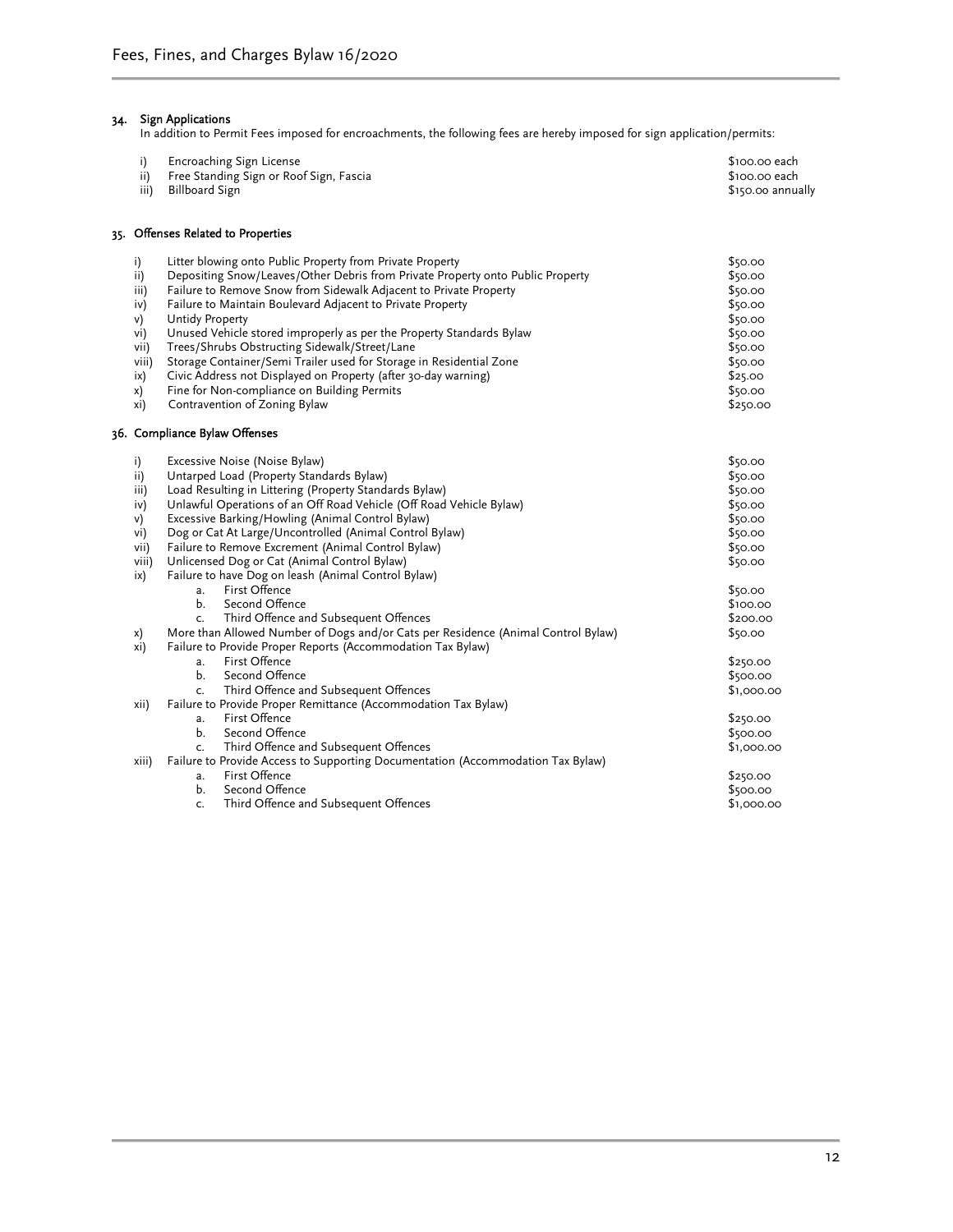#### 34. Sign Applications

In addition to Permit Fees imposed for encroachments, the following fees are hereby imposed for sign application/permits:

| i)<br>ii)<br>iii)                                                          | Encroaching Sign License<br>Free Standing Sign or Roof Sign, Fascia<br><b>Billboard Sign</b>                                                                                                                                                                                                                                                                                                                                                                                                                                                                                                                                                                                                                                                                                            | \$100.00 each<br>\$100.00 each<br>\$150.00 annually                                                                                                        |
|----------------------------------------------------------------------------|-----------------------------------------------------------------------------------------------------------------------------------------------------------------------------------------------------------------------------------------------------------------------------------------------------------------------------------------------------------------------------------------------------------------------------------------------------------------------------------------------------------------------------------------------------------------------------------------------------------------------------------------------------------------------------------------------------------------------------------------------------------------------------------------|------------------------------------------------------------------------------------------------------------------------------------------------------------|
|                                                                            | 35. Offenses Related to Properties                                                                                                                                                                                                                                                                                                                                                                                                                                                                                                                                                                                                                                                                                                                                                      |                                                                                                                                                            |
| i)<br>ii)<br>iii)<br>iv)<br>V)<br>vi)<br>vii)<br>viii)<br>ix)<br>x)<br>xi) | Litter blowing onto Public Property from Private Property<br>Depositing Snow/Leaves/Other Debris from Private Property onto Public Property<br>Failure to Remove Snow from Sidewalk Adjacent to Private Property<br>Failure to Maintain Boulevard Adjacent to Private Property<br><b>Untidy Property</b><br>Unused Vehicle stored improperly as per the Property Standards Bylaw<br>Trees/Shrubs Obstructing Sidewalk/Street/Lane<br>Storage Container/Semi Trailer used for Storage in Residential Zone<br>Civic Address not Displayed on Property (after 30-day warning)<br>Fine for Non-compliance on Building Permits<br>Contravention of Zoning Bylaw                                                                                                                              | \$50.00<br>\$50.00<br>\$50.00<br>\$50.00<br>\$50.00<br>\$50.00<br>\$50.00<br>\$50.00<br>\$25.00<br>\$50.00<br>\$250.00                                     |
|                                                                            | 36. Compliance Bylaw Offenses                                                                                                                                                                                                                                                                                                                                                                                                                                                                                                                                                                                                                                                                                                                                                           |                                                                                                                                                            |
| i)<br>ii)<br>iii)<br>iv)<br>v)<br>vi)<br>vii)<br>viii)<br>ix)<br>x)<br>xi) | Excessive Noise (Noise Bylaw)<br>Untarped Load (Property Standards Bylaw)<br>Load Resulting in Littering (Property Standards Bylaw)<br>Unlawful Operations of an Off Road Vehicle (Off Road Vehicle Bylaw)<br>Excessive Barking/Howling (Animal Control Bylaw)<br>Dog or Cat At Large/Uncontrolled (Animal Control Bylaw)<br>Failure to Remove Excrement (Animal Control Bylaw)<br>Unlicensed Dog or Cat (Animal Control Bylaw)<br>Failure to have Dog on leash (Animal Control Bylaw)<br>First Offence<br>a.<br>b.<br>Second Offence<br>Third Offence and Subsequent Offences<br>c.<br>More than Allowed Number of Dogs and/or Cats per Residence (Animal Control Bylaw)<br>Failure to Provide Proper Reports (Accommodation Tax Bylaw)<br>First Offence<br>a.<br>b.<br>Second Offence | \$50.00<br>\$50.00<br>\$50.00<br>\$50.00<br>\$50.00<br>\$50.00<br>\$50.00<br>\$50.00<br>\$50.00<br>\$100.00<br>\$200.00<br>\$50.00<br>\$250.00<br>\$500.00 |
| xii)                                                                       | Third Offence and Subsequent Offences<br>c.<br>Failure to Provide Proper Remittance (Accommodation Tax Bylaw)<br>First Offence<br>a.<br>Second Offence<br>b.<br>Third Offence and Subsequent Offences<br>c.                                                                                                                                                                                                                                                                                                                                                                                                                                                                                                                                                                             | \$1,000.00<br>\$250.00<br>\$500.00<br>\$1,000.00                                                                                                           |
| xiii)                                                                      | Failure to Provide Access to Supporting Documentation (Accommodation Tax Bylaw)<br>First Offence<br>a.<br>Second Offence<br>Ь.<br>Third Offence and Subsequent Offences<br>c.                                                                                                                                                                                                                                                                                                                                                                                                                                                                                                                                                                                                           | \$250.00<br>\$500.00<br>\$1,000.00                                                                                                                         |